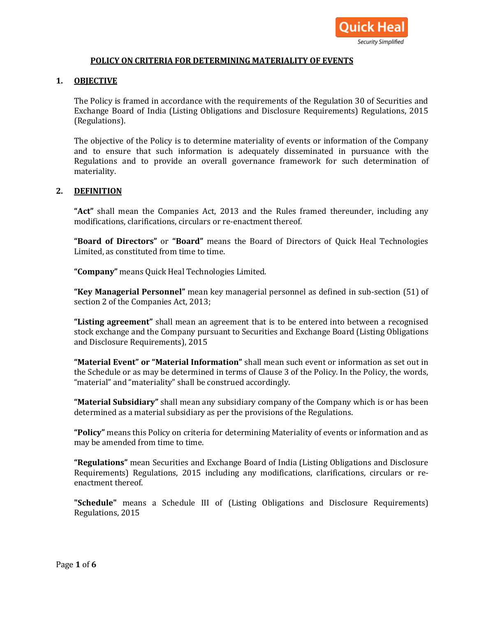

### **POLICY ON CRITERIA FOR DETERMINING MATERIALITY OF EVENTS**

### **1. OBJECTIVE**

The Policy is framed in accordance with the requirements of the Regulation 30 of Securities and Exchange Board of India (Listing Obligations and Disclosure Requirements) Regulations, 2015 (Regulations).

The objective of the Policy is to determine materiality of events or information of the Company and to ensure that such information is adequately disseminated in pursuance with the Regulations and to provide an overall governance framework for such determination of materiality.

#### **2. DEFINITION**

**"Act"** shall mean the Companies Act, 2013 and the Rules framed thereunder, including any modifications, clarifications, circulars or re-enactment thereof.

**"Board of Directors"** or **"Board"** means the Board of Directors of Quick Heal Technologies Limited, as constituted from time to time.

**"Company"** means Quick Heal Technologies Limited.

**"Key Managerial Personnel"** mean key managerial personnel as defined in sub-section (51) of section 2 of the Companies Act, 2013;

**"Listing agreement"** shall mean an agreement that is to be entered into between a recognised stock exchange and the Company pursuant to Securities and Exchange Board (Listing Obligations and Disclosure Requirements), 2015

**"Material Event" or "Material Information"** shall mean such event or information as set out in the Schedule or as may be determined in terms of Clause 3 of the Policy. In the Policy, the words, "material" and "materiality" shall be construed accordingly.

**"Material Subsidiary"** shall mean any subsidiary company of the Company which is or has been determined as a material subsidiary as per the provisions of the Regulations.

**"Policy"** means this Policy on criteria for determining Materiality of events or information and as may be amended from time to time.

**"Regulations"** mean Securities and Exchange Board of India (Listing Obligations and Disclosure Requirements) Regulations, 2015 including any modifications, clarifications, circulars or reenactment thereof.

**"Schedule"** means a Schedule III of (Listing Obligations and Disclosure Requirements) Regulations, 2015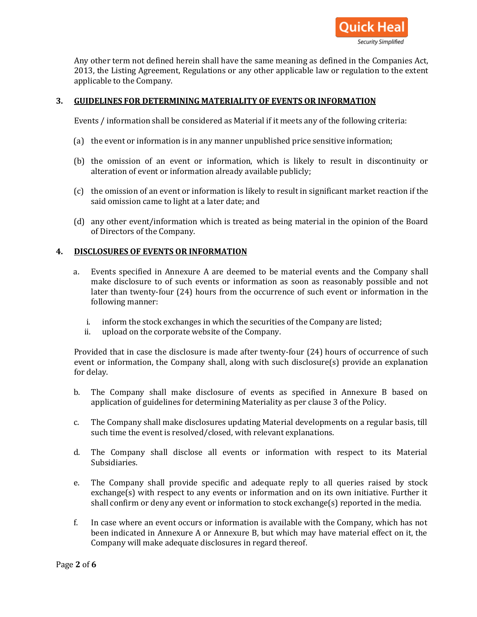

Any other term not defined herein shall have the same meaning as defined in the Companies Act, 2013, the Listing Agreement, Regulations or any other applicable law or regulation to the extent applicable to the Company.

## **3. GUIDELINES FOR DETERMINING MATERIALITY OF EVENTS OR INFORMATION**

Events / information shall be considered as Material if it meets any of the following criteria:

- (a) the event or information is in any manner unpublished price sensitive information;
- (b) the omission of an event or information, which is likely to result in discontinuity or alteration of event or information already available publicly;
- (c) the omission of an event or information is likely to result in significant market reaction if the said omission came to light at a later date; and
- (d) any other event/information which is treated as being material in the opinion of the Board of Directors of the Company.

### **4. DISCLOSURES OF EVENTS OR INFORMATION**

- a. Events specified in Annexure A are deemed to be material events and the Company shall make disclosure to of such events or information as soon as reasonably possible and not later than twenty-four (24) hours from the occurrence of such event or information in the following manner:
	- i. inform the stock exchanges in which the securities of the Company are listed;
	- ii. upload on the corporate website of the Company.

Provided that in case the disclosure is made after twenty-four (24) hours of occurrence of such event or information, the Company shall, along with such disclosure(s) provide an explanation for delay.

- b. The Company shall make disclosure of events as specified in Annexure B based on application of guidelines for determining Materiality as per clause 3 of the Policy.
- c. The Company shall make disclosures updating Material developments on a regular basis, till such time the event is resolved/closed, with relevant explanations.
- d. The Company shall disclose all events or information with respect to its Material Subsidiaries.
- e. The Company shall provide specific and adequate reply to all queries raised by stock exchange(s) with respect to any events or information and on its own initiative. Further it shall confirm or deny any event or information to stock exchange(s) reported in the media.
- f. In case where an event occurs or information is available with the Company, which has not been indicated in Annexure A or Annexure B, but which may have material effect on it, the Company will make adequate disclosures in regard thereof.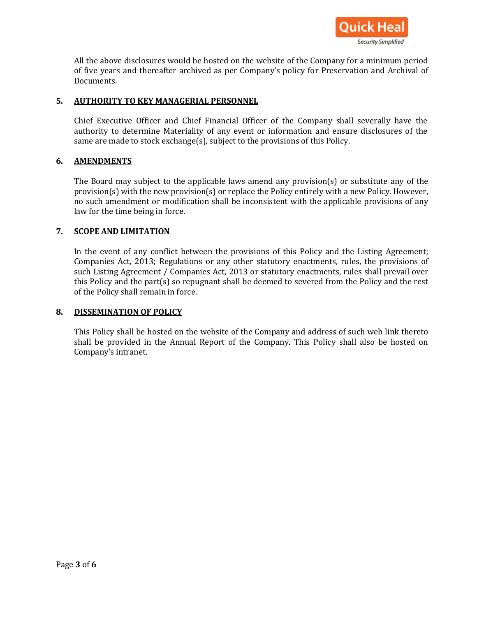

All the above disclosures would be hosted on the website of the Company for a minimum period of five years and thereafter archived as per Company's policy for Preservation and Archival of Documents.

## **5. AUTHORITY TO KEY MANAGERIAL PERSONNEL**

Chief Executive Officer and Chief Financial Officer of the Company shall severally have the authority to determine Materiality of any event or information and ensure disclosures of the same are made to stock exchange(s), subject to the provisions of this Policy.

### **6. AMENDMENTS**

The Board may subject to the applicable laws amend any provision(s) or substitute any of the provision(s) with the new provision(s) or replace the Policy entirely with a new Policy. However, no such amendment or modification shall be inconsistent with the applicable provisions of any law for the time being in force.

#### **7. SCOPE AND LIMITATION**

In the event of any conflict between the provisions of this Policy and the Listing Agreement; Companies Act, 2013; Regulations or any other statutory enactments, rules, the provisions of such Listing Agreement / Companies Act, 2013 or statutory enactments, rules shall prevail over this Policy and the part(s) so repugnant shall be deemed to severed from the Policy and the rest of the Policy shall remain in force.

#### **8. DISSEMINATION OF POLICY**

This Policy shall be hosted on the website of the Company and address of such web link thereto shall be provided in the Annual Report of the Company. This Policy shall also be hosted on Company's intranet.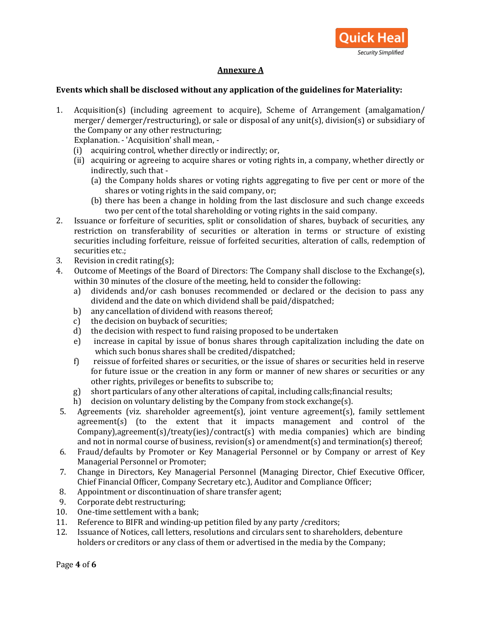

# **Annexure A**

### **Events which shall be disclosed without any application of the guidelines for Materiality:**

1. Acquisition(s) (including agreement to acquire), Scheme of Arrangement (amalgamation/ merger/ demerger/restructuring), or sale or disposal of any unit(s), division(s) or subsidiary of the Company or any other restructuring;

Explanation. - 'Acquisition' shall mean, -

- (i) acquiring control, whether directly or indirectly; or,
- (ii) acquiring or agreeing to acquire shares or voting rights in, a company, whether directly or indirectly, such that -
	- (a) the Company holds shares or voting rights aggregating to five per cent or more of the shares or voting rights in the said company, or;
	- (b) there has been a change in holding from the last disclosure and such change exceeds two per cent of the total shareholding or voting rights in the said company.
- 2. Issuance or forfeiture of securities, split or consolidation of shares, buyback of securities, any restriction on transferability of securities or alteration in terms or structure of existing securities including forfeiture, reissue of forfeited securities, alteration of calls, redemption of securities etc.;
- 3. Revision in credit rating(s);
- 4. Outcome of Meetings of the Board of Directors: The Company shall disclose to the Exchange(s), within 30 minutes of the closure of the meeting, held to consider the following:
	- a) dividends and/or cash bonuses recommended or declared or the decision to pass any dividend and the date on which dividend shall be paid/dispatched;
	- b) any cancellation of dividend with reasons thereof;
	- c) the decision on buyback of securities;
	- d) the decision with respect to fund raising proposed to be undertaken
	- e) increase in capital by issue of bonus shares through capitalization including the date on which such bonus shares shall be credited/dispatched;
	- f) reissue of forfeited shares or securities, or the issue of shares or securities held in reserve for future issue or the creation in any form or manner of new shares or securities or any other rights, privileges or benefits to subscribe to;
	- g) short particulars of any other alterations of capital, including calls;financial results;
	- h) decision on voluntary delisting by the Company from stock exchange(s).
- 5. Agreements (viz. shareholder agreement(s), joint venture agreement(s), family settlement agreement(s) (to the extent that it impacts management and control of the Company),agreement(s)/treaty(ies)/contract(s) with media companies) which are binding and not in normal course of business, revision(s) or amendment(s) and termination(s) thereof;
- 6. Fraud/defaults by Promoter or Key Managerial Personnel or by Company or arrest of Key Managerial Personnel or Promoter;
- 7. Change in Directors, Key Managerial Personnel (Managing Director, Chief Executive Officer, Chief Financial Officer, Company Secretary etc.), Auditor and Compliance Officer;
- 8. Appointment or discontinuation of share transfer agent;
- 9. Corporate debt restructuring;
- 10. One-time settlement with a bank;
- 11. Reference to BIFR and winding-up petition filed by any party /creditors;
- 12. Issuance of Notices, call letters, resolutions and circulars sent to shareholders, debenture holders or creditors or any class of them or advertised in the media by the Company;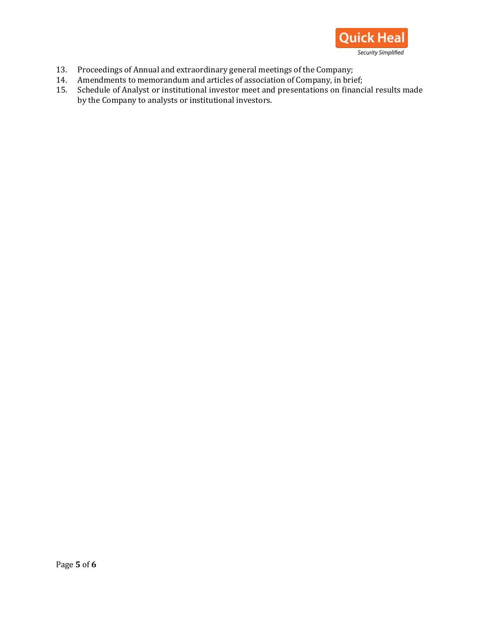

- 13. Proceedings of Annual and extraordinary general meetings of the Company;
- 14. Amendments to memorandum and articles of association of Company, in brief;
- 15. Schedule of Analyst or institutional investor meet and presentations on financial results made by the Company to analysts or institutional investors.